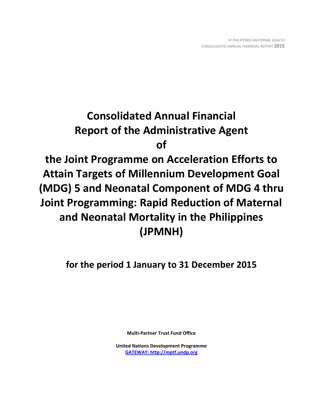# **Consolidated Annual Financial Report of the Administrative Agent of**

**the Joint Programme on Acceleration Efforts to Attain Targets of Millennium Development Goal (MDG) 5 and Neonatal Component of MDG 4 thru Joint Programming: Rapid Reduction of Maternal and Neonatal Mortality in the Philippines (JPMNH)**

**for the period 1 January to 31 December 2015**

**Multi-Partner Trust Fund Office**

**United Nations Development Programme [GATEWAY: http://mptf.undp.org](http://mptf.undp.org/)**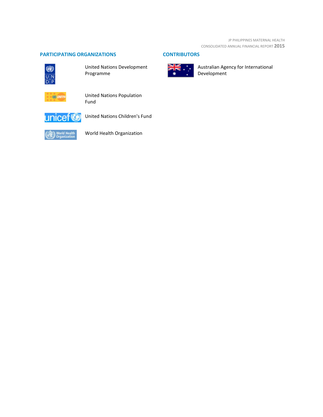## **PARTICIPATING ORGANIZATIONS CONTRIBUTORS**



United Nations Development Programme



United Nations Population Fund



United Nations Children's Fund



World Health Organization



Australian Agency for International Development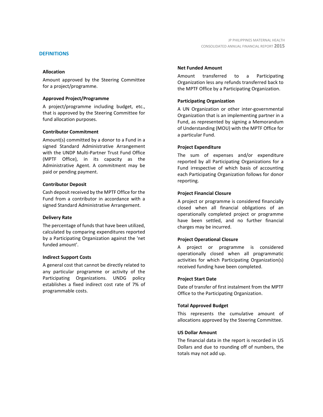### **DEFINITIONS**

### **Allocation**

Amount approved by the Steering Committee for a project/programme.

### **Approved Project/Programme**

A project/programme including budget, etc., that is approved by the Steering Committee for fund allocation purposes.

### **Contributor Commitment**

Amount(s) committed by a donor to a Fund in a signed Standard Administrative Arrangement with the UNDP Multi-Partner Trust Fund Office (MPTF Office), in its capacity as the Administrative Agent. A commitment may be paid or pending payment.

### **Contributor Deposit**

Cash deposit received by the MPTF Office for the Fund from a contributor in accordance with a signed Standard Administrative Arrangement.

### **Delivery Rate**

The percentage of funds that have been utilized, calculated by comparing expenditures reported by a Participating Organization against the 'net funded amount'.

### **Indirect Support Costs**

A general cost that cannot be directly related to any particular programme or activity of the Participating Organizations. UNDG policy establishes a fixed indirect cost rate of 7% of programmable costs.

### **Net Funded Amount**

Amount transferred to a Participating Organization less any refunds transferred back to the MPTF Office by a Participating Organization.

### **Participating Organization**

A UN Organization or other inter-governmental Organization that is an implementing partner in a Fund, as represented by signing a Memorandum of Understanding (MOU) with the MPTF Office for a particular Fund.

### **Project Expenditure**

The sum of expenses and/or expenditure reported by all Participating Organizations for a Fund irrespective of which basis of accounting each Participating Organization follows for donor reporting.

### **Project Financial Closure**

A project or programme is considered financially closed when all financial obligations of an operationally completed project or programme have been settled, and no further financial charges may be incurred.

### **Project Operational Closure**

A project or programme is considered operationally closed when all programmatic activities for which Participating Organization(s) received funding have been completed.

### **Project Start Date**

Date of transfer of first instalment from the MPTF Office to the Participating Organization.

### **Total Approved Budget**

This represents the cumulative amount of allocations approved by the Steering Committee.

### **US Dollar Amount**

The financial data in the report is recorded in US Dollars and due to rounding off of numbers, the totals may not add up.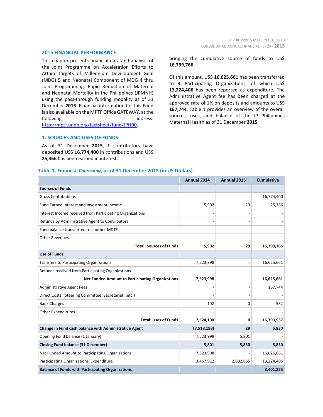#### **2015 FINANCIAL PERFORMANCE**

This chapter presents financial data and analysis of the Joint Programme on Acceleration Efforts to Attain Targets of Millennium Development Goal (MDG) 5 and Neonatal Component of MDG 4 thru Joint Programming: Rapid Reduction of Maternal and Neonatal Mortality in the Philippines (JPMNH) using the pass-through funding modality as of 31 December **2015**. Financial information for this Fund is also available on the MPTF Office GATEWAY, at the following and and the address: [http://mptf.undp.org/factsheet/fund/JPH00.](http://mptf.undp.org/factsheet/fund/JPH00) 

# CONSOLIDATED ANNUAL FINANCIAL REPORT **2015**

JP PHILIPPINES MATERNAL HEALTH

bringing the cumulative source of funds to US\$ **16,799,766**.

Of this amount, US\$ **16,625,661** has been transferred to **4** Participating Organizations, of which US\$ **13,224,406** has been reported as expenditure. The Administrative Agent fee has been charged at the approved rate of 1% on deposits and amounts to US\$ **167,744**. Table 1 provides an overview of the overall sources, uses, and balance of the JP Philippines Maternal Health as of 31 December **2015**.

### **1. SOURCES AND USES OF FUNDS**

As of 31 December **2015**, **1** contributors have deposited US\$ **16,774,400** in contributions and US\$ **25,366** has been earned in interest,

### **Table 1. Financial Overview, as of 31 December 2015 (in US Dollars)**

|                                                           | Annual 2014 | Annual 2015 | <b>Cumulative</b> |
|-----------------------------------------------------------|-------------|-------------|-------------------|
| <b>Sources of Funds</b>                                   |             |             |                   |
| <b>Gross Contributions</b>                                |             |             | 16,774,400        |
| Fund Earned Interest and Investment Income                | 5,902       | 29          | 25,366            |
| Interest Income received from Participating Organizations |             |             |                   |
| Refunds by Administrative Agent to Contributors           |             |             |                   |
| Fund balance transferred to another MDTF                  |             |             |                   |
| <b>Other Revenues</b>                                     |             |             |                   |
| <b>Total: Sources of Funds</b>                            | 5,902       | 29          | 16,799,766        |
| <b>Use of Funds</b>                                       |             |             |                   |
| Transfers to Participating Organizations                  | 7,523,998   |             | 16,625,661        |
| Refunds received from Participating Organizations         |             |             |                   |
| <b>Net Funded Amount to Participating Organizations</b>   | 7,523,998   |             | 16,625,661        |
| <b>Administrative Agent Fees</b>                          |             |             | 167,744           |
| Direct Costs: (Steering Committee, Secretariatetc.)       |             |             |                   |
| <b>Bank Charges</b>                                       | 102         | 0           | 532               |
| <b>Other Expenditures</b>                                 |             |             |                   |
| <b>Total: Uses of Funds</b>                               | 7,524,100   | 0           | 16,793,937        |
| Change in Fund cash balance with Administrative Agent     | (7,518,198) | 29          | 5,830             |
| Opening Fund balance (1 January)                          | 7,523,999   | 5,801       |                   |
| <b>Closing Fund balance (31 December)</b>                 | 5,801       | 5,830       | 5,830             |
| Net Funded Amount to Participating Organizations          | 7,523,998   |             | 16,625,661        |
| Participating Organizations' Expenditure                  | 3,457,912   | 2,902,855   | 13,224,406        |
| <b>Balance of Funds with Participating Organizations</b>  |             |             | 3,401,255         |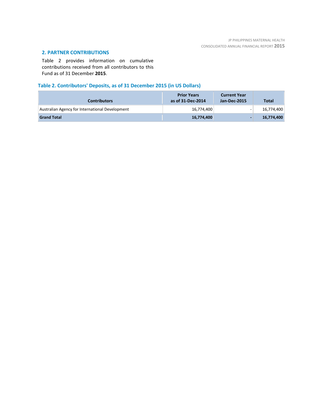# **2. PARTNER CONTRIBUTIONS**

Table 2 provides information on cumulative contributions received from all contributors to this Fund as of 31 December **2015**.

# **Table 2. Contributors' Deposits, as of 31 December 2015 (in US Dollars)**

| <b>Contributors</b>                             | <b>Prior Years</b><br>as of 31-Dec-2014 | <b>Current Year</b><br>Jan-Dec-2015 | <b>Total</b> |
|-------------------------------------------------|-----------------------------------------|-------------------------------------|--------------|
| Australian Agency for International Development | 16,774,400                              | -                                   | 16,774,400   |
| <b>Grand Total</b>                              | 16,774,400                              | -                                   | 16,774,400   |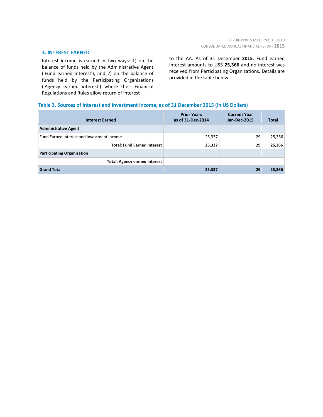### **3. INTEREST EARNED**

Interest income is earned in two ways: 1) on the balance of funds held by the Administrative Agent ('Fund earned interest'), and 2) on the balance of funds held by the Participating Organizations ('Agency earned interest') where their Financial Regulations and Rules allow return of interest

to the AA. As of 31 December **2015**, Fund earned interest amounts to US\$ **25,366** and no interest was received from Participating Organizations. Details are provided in the table below.

### **Table 3. Sources of Interest and Investment Income, as of 31 December 2015 (in US Dollars)**

| <b>Interest Earned</b>                     | <b>Prior Years</b><br>as of 31-Dec-2014 | <b>Current Year</b><br><b>Jan-Dec-2015</b> | <b>Total</b> |
|--------------------------------------------|-----------------------------------------|--------------------------------------------|--------------|
| <b>Administrative Agent</b>                |                                         |                                            |              |
| Fund Earned Interest and Investment Income | 25,337                                  | 29                                         | 25,366       |
| <b>Total: Fund Earned Interest</b>         | 25,337                                  | 29                                         | 25,366       |
| <b>Participating Organization</b>          |                                         |                                            |              |
| <b>Total: Agency earned interest</b>       |                                         |                                            |              |
| <b>Grand Total</b>                         | 25,337                                  | 29                                         | 25,366       |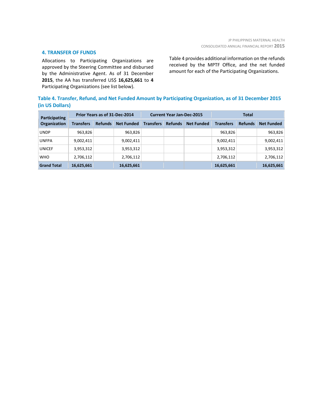### **4. TRANSFER OF FUNDS**

Allocations to Participating Organizations are approved by the Steering Committee and disbursed by the Administrative Agent. As of 31 December **2015**, the AA has transferred US\$ **16,625,661** to **4** Participating Organizations (see list below).

Table 4 provides additional information on the refunds received by the MPTF Office, and the net funded amount for each of the Participating Organizations.

|                 | Table 4. Transfer, Refund, and Net Funded Amount by Participating Organization, as of 31 December 2015 |  |
|-----------------|--------------------------------------------------------------------------------------------------------|--|
| (in US Dollars) |                                                                                                        |  |

| Participating<br>Organization | Prior Years as of 31-Dec-2014 |                |                   | <b>Current Year Jan-Dec-2015</b> |                |                   | <b>Total</b>     |                |                   |
|-------------------------------|-------------------------------|----------------|-------------------|----------------------------------|----------------|-------------------|------------------|----------------|-------------------|
|                               | <b>Transfers</b>              | <b>Refunds</b> | <b>Net Funded</b> | <b>Transfers</b>                 | <b>Refunds</b> | <b>Net Funded</b> | <b>Transfers</b> | <b>Refunds</b> | <b>Net Funded</b> |
| <b>UNDP</b>                   | 963,826                       |                | 963,826           |                                  |                |                   | 963,826          |                | 963,826           |
| <b>UNFPA</b>                  | 9,002,411                     |                | 9,002,411         |                                  |                |                   | 9,002,411        |                | 9,002,411         |
| <b>UNICEF</b>                 | 3,953,312                     |                | 3,953,312         |                                  |                |                   | 3,953,312        |                | 3,953,312         |
| <b>WHO</b>                    | 2,706,112                     |                | 2,706,112         |                                  |                |                   | 2,706,112        |                | 2,706,112         |
| <b>Grand Total</b>            | 16,625,661                    |                | 16,625,661        |                                  |                |                   | 16,625,661       |                | 16,625,661        |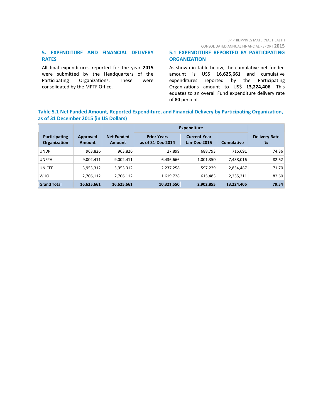JP PHILIPPINES MATERNAL HEALTH

CONSOLIDATED ANNUAL FINANCIAL REPORT **2015**

# **5. EXPENDITURE AND FINANCIAL DELIVERY RATES**

All final expenditures reported for the year **2015** were submitted by the Headquarters of the Participating Organizations. These were consolidated by the MPTF Office.

### **5.1 EXPENDITURE REPORTED BY PARTICIPATING ORGANIZATION**

As shown in table below, the cumulative net funded amount is US\$ **16,625,661** and cumulative expenditures reported by the Participating Organizations amount to US\$ **13,224,406**. This equates to an overall Fund expenditure delivery rate of **80** percent.

### **Table 5.1 Net Funded Amount, Reported Expenditure, and Financial Delivery by Participating Organization, as of 31 December 2015 (in US Dollars)**

|                                      |                           |                                    | <b>Expenditure</b>                      |                                            |                   |                           |
|--------------------------------------|---------------------------|------------------------------------|-----------------------------------------|--------------------------------------------|-------------------|---------------------------|
| Participating<br><b>Organization</b> | Approved<br><b>Amount</b> | <b>Net Funded</b><br><b>Amount</b> | <b>Prior Years</b><br>as of 31-Dec-2014 | <b>Current Year</b><br><b>Jan-Dec-2015</b> | <b>Cumulative</b> | <b>Delivery Rate</b><br>% |
| <b>UNDP</b>                          | 963,826                   | 963,826                            | 27.899                                  | 688,793                                    | 716.691           | 74.36                     |
| <b>UNFPA</b>                         | 9,002,411                 | 9,002,411                          | 6,436,666                               | 1,001,350                                  | 7,438,016         | 82.62                     |
| <b>UNICEF</b>                        | 3,953,312                 | 3,953,312                          | 2,237,258                               | 597,229                                    | 2,834,487         | 71.70                     |
| <b>WHO</b>                           | 2,706,112                 | 2,706,112                          | 1,619,728                               | 615,483                                    | 2,235,211         | 82.60                     |
| <b>Grand Total</b>                   | 16,625,661                | 16,625,661                         | 10,321,550                              | 2,902,855                                  | 13,224,406        | 79.54                     |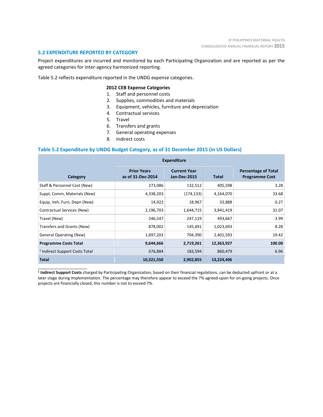### **5.2 EXPENDITURE REPORTED BY CATEGORY**

\_\_\_\_\_\_\_\_\_\_\_\_\_\_\_\_\_\_\_\_\_\_

Project expenditures are incurred and monitored by each Participating Organization and are reported as per the agreed categories for inter-agency harmonized reporting.

Table 5.2 reflects expenditure reported in the UNDG expense categories.

### **2012 CEB Expense Categories**

- 1. Staff and personnel costs
- 2. Supplies, commodities and materials
- 3. Equipment, vehicles, furniture and depreciation
- 4. Contractual services
- 5. Travel
- 6. Transfers and grants
- 7. General operating expenses
- 8. Indirect costs

### **Table 5.2 Expenditure by UNDG Budget Category, as of 31 December 2015 (in US Dollars)**

|                                           | <b>Expenditure</b>                      |                                            |              |                                                     |
|-------------------------------------------|-----------------------------------------|--------------------------------------------|--------------|-----------------------------------------------------|
| Category                                  | <b>Prior Years</b><br>as of 31-Dec-2014 | <b>Current Year</b><br><b>Jan-Dec-2015</b> | <b>Total</b> | <b>Percentage of Total</b><br><b>Programme Cost</b> |
| Staff & Personnel Cost (New)              | 273,086                                 | 132,512                                    | 405,598      | 3.28                                                |
| Suppl, Comm, Materials (New)              | 4,338,203                               | (174, 133)                                 | 4,164,070    | 33.68                                               |
| Equip, Veh, Furn, Depn (New)              | 14,922                                  | 18,967                                     | 33,888       | 0.27                                                |
| Contractual Services (New)                | 2,196,703                               | 1,644,715                                  | 3,841,419    | 31.07                                               |
| Travel (New)                              | 246,547                                 | 247,119                                    | 493,667      | 3.99                                                |
| Transfers and Grants (New)                | 878,002                                 | 145,691                                    | 1,023,693    | 8.28                                                |
| <b>General Operating (New)</b>            | 1,697,203                               | 704,390                                    | 2,401,593    | 19.42                                               |
| <b>Programme Costs Total</b>              | 9,644,666                               | 2,719,261                                  | 12,363,927   | 100.00                                              |
| <sup>1</sup> Indirect Support Costs Total | 676,884                                 | 183,594                                    | 860,479      | 6.96                                                |
| <b>Total</b>                              | 10,321,550                              | 2,902,855                                  | 13,224,406   |                                                     |

**<sup>1</sup> Indirect Support Costs** charged by Participating Organization, based on their financial regulations, can be deducted upfront or at a later stage during implementation. The percentage may therefore appear to exceed the 7% agreed-upon for on-going projects. Once projects are financially closed, this number is not to exceed 7%.